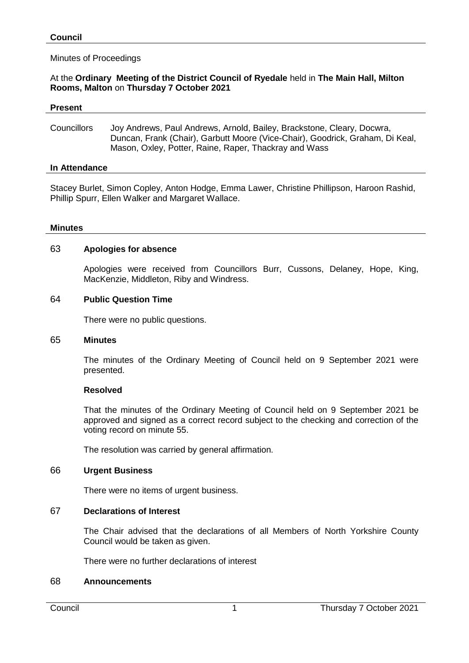## Minutes of Proceedings

## At the **Ordinary Meeting of the District Council of Ryedale** held in **The Main Hall, Milton Rooms, Malton** on **Thursday 7 October 2021**

#### **Present**

Councillors Joy Andrews, Paul Andrews, Arnold, Bailey, Brackstone, Cleary, Docwra, Duncan, Frank (Chair), Garbutt Moore (Vice-Chair), Goodrick, Graham, Di Keal, Mason, Oxley, Potter, Raine, Raper, Thackray and Wass

### **In Attendance**

Stacey Burlet, Simon Copley, Anton Hodge, Emma Lawer, Christine Phillipson, Haroon Rashid, Phillip Spurr, Ellen Walker and Margaret Wallace.

### **Minutes**

### 63 **Apologies for absence**

Apologies were received from Councillors Burr, Cussons, Delaney, Hope, King, MacKenzie, Middleton, Riby and Windress.

### 64 **Public Question Time**

There were no public questions.

### 65 **Minutes**

The minutes of the Ordinary Meeting of Council held on 9 September 2021 were presented.

### **Resolved**

That the minutes of the Ordinary Meeting of Council held on 9 September 2021 be approved and signed as a correct record subject to the checking and correction of the voting record on minute 55.

The resolution was carried by general affirmation.

### 66 **Urgent Business**

There were no items of urgent business.

### 67 **Declarations of Interest**

The Chair advised that the declarations of all Members of North Yorkshire County Council would be taken as given.

There were no further declarations of interest

### 68 **Announcements**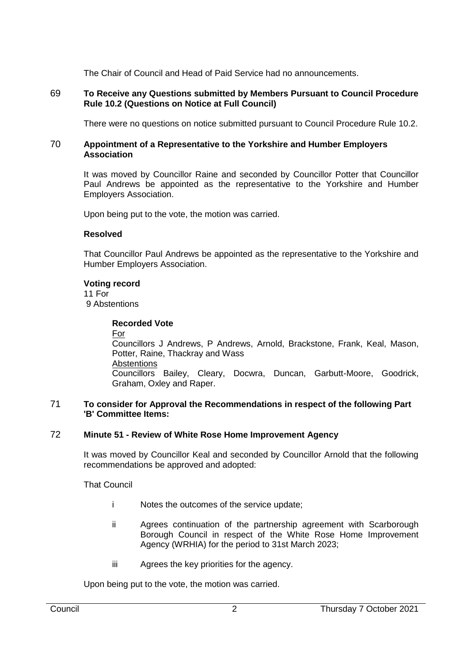The Chair of Council and Head of Paid Service had no announcements.

## 69 **To Receive any Questions submitted by Members Pursuant to Council Procedure Rule 10.2 (Questions on Notice at Full Council)**

There were no questions on notice submitted pursuant to Council Procedure Rule 10.2.

### 70 **Appointment of a Representative to the Yorkshire and Humber Employers Association**

It was moved by Councillor Raine and seconded by Councillor Potter that Councillor Paul Andrews be appointed as the representative to the Yorkshire and Humber Employers Association.

Upon being put to the vote, the motion was carried.

## **Resolved**

That Councillor Paul Andrews be appointed as the representative to the Yorkshire and Humber Employers Association.

### **Voting record**

11 For 9 Abstentions

## **Recorded Vote**

For Councillors J Andrews, P Andrews, Arnold, Brackstone, Frank, Keal, Mason, Potter, Raine, Thackray and Wass **Abstentions** Councillors Bailey, Cleary, Docwra, Duncan, Garbutt-Moore, Goodrick, Graham, Oxley and Raper.

#### 71 **To consider for Approval the Recommendations in respect of the following Part 'B' Committee Items:**

# 72 **Minute 51 - Review of White Rose Home Improvement Agency**

It was moved by Councillor Keal and seconded by Councillor Arnold that the following recommendations be approved and adopted:

That Council

- i Notes the outcomes of the service update;
- ii Agrees continuation of the partnership agreement with Scarborough Borough Council in respect of the White Rose Home Improvement Agency (WRHIA) for the period to 31st March 2023;
- iii Agrees the key priorities for the agency.

Upon being put to the vote, the motion was carried.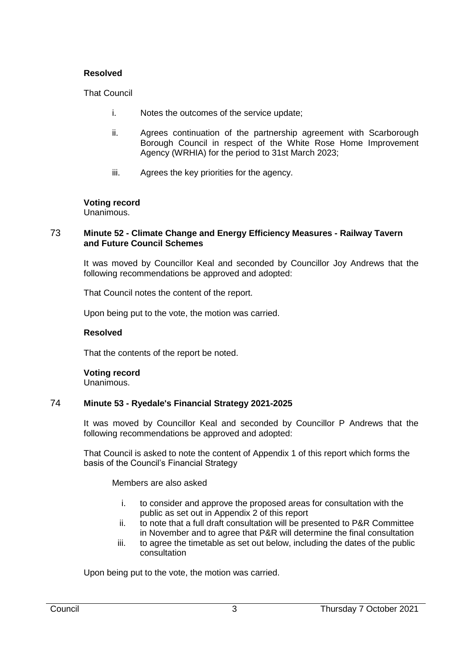## **Resolved**

That Council

- i. Notes the outcomes of the service update;
- ii. Agrees continuation of the partnership agreement with Scarborough Borough Council in respect of the White Rose Home Improvement Agency (WRHIA) for the period to 31st March 2023;
- iii. Agrees the key priorities for the agency.

## **Voting record**

Unanimous.

### 73 **Minute 52 - Climate Change and Energy Efficiency Measures - Railway Tavern and Future Council Schemes**

It was moved by Councillor Keal and seconded by Councillor Joy Andrews that the following recommendations be approved and adopted:

That Council notes the content of the report.

Upon being put to the vote, the motion was carried.

### **Resolved**

That the contents of the report be noted.

**Voting record** Unanimous.

# 74 **Minute 53 - Ryedale's Financial Strategy 2021-2025**

It was moved by Councillor Keal and seconded by Councillor P Andrews that the following recommendations be approved and adopted:

That Council is asked to note the content of Appendix 1 of this report which forms the basis of the Council's Financial Strategy

# Members are also asked

- i. to consider and approve the proposed areas for consultation with the public as set out in Appendix 2 of this report
- ii. to note that a full draft consultation will be presented to P&R Committee in November and to agree that P&R will determine the final consultation
- iii. to agree the timetable as set out below, including the dates of the public consultation

Upon being put to the vote, the motion was carried.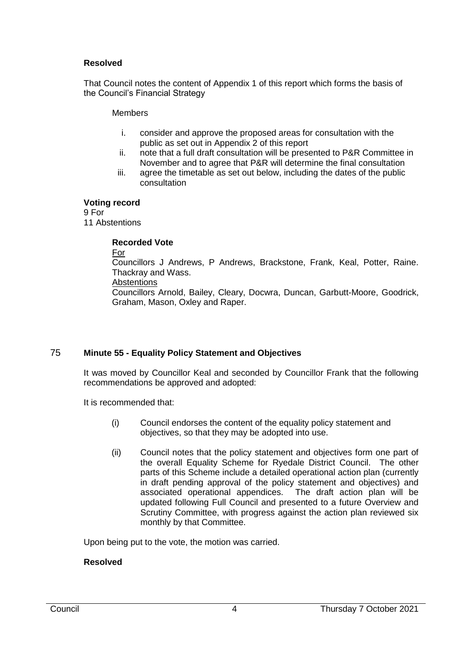## **Resolved**

That Council notes the content of Appendix 1 of this report which forms the basis of the Council's Financial Strategy

### **Members**

- i. consider and approve the proposed areas for consultation with the public as set out in Appendix 2 of this report
- ii. note that a full draft consultation will be presented to P&R Committee in November and to agree that P&R will determine the final consultation
- iii. agree the timetable as set out below, including the dates of the public consultation

### **Voting record**

9 For 11 Abstentions

## **Recorded Vote**

For

Councillors J Andrews, P Andrews, Brackstone, Frank, Keal, Potter, Raine. Thackray and Wass.

**Abstentions** 

Councillors Arnold, Bailey, Cleary, Docwra, Duncan, Garbutt-Moore, Goodrick, Graham, Mason, Oxley and Raper.

# 75 **Minute 55 - Equality Policy Statement and Objectives**

It was moved by Councillor Keal and seconded by Councillor Frank that the following recommendations be approved and adopted:

It is recommended that:

- (i) Council endorses the content of the equality policy statement and objectives, so that they may be adopted into use.
- (ii) Council notes that the policy statement and objectives form one part of the overall Equality Scheme for Ryedale District Council. The other parts of this Scheme include a detailed operational action plan (currently in draft pending approval of the policy statement and objectives) and associated operational appendices. The draft action plan will be updated following Full Council and presented to a future Overview and Scrutiny Committee, with progress against the action plan reviewed six monthly by that Committee.

Upon being put to the vote, the motion was carried.

# **Resolved**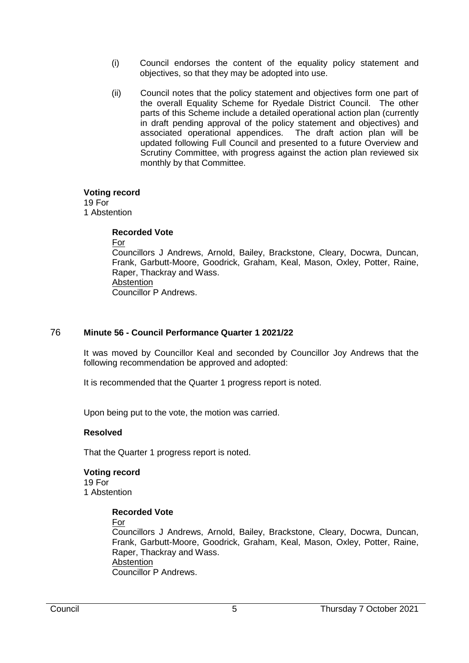- (i) Council endorses the content of the equality policy statement and objectives, so that they may be adopted into use.
- (ii) Council notes that the policy statement and objectives form one part of the overall Equality Scheme for Ryedale District Council. The other parts of this Scheme include a detailed operational action plan (currently in draft pending approval of the policy statement and objectives) and associated operational appendices. The draft action plan will be updated following Full Council and presented to a future Overview and Scrutiny Committee, with progress against the action plan reviewed six monthly by that Committee.

#### **Voting record**

19 For 1 Abstention

### **Recorded Vote**

For

Councillors J Andrews, Arnold, Bailey, Brackstone, Cleary, Docwra, Duncan, Frank, Garbutt-Moore, Goodrick, Graham, Keal, Mason, Oxley, Potter, Raine, Raper, Thackray and Wass. **Abstention** Councillor P Andrews.

# 76 **Minute 56 - Council Performance Quarter 1 2021/22**

It was moved by Councillor Keal and seconded by Councillor Joy Andrews that the following recommendation be approved and adopted:

It is recommended that the Quarter 1 progress report is noted.

Upon being put to the vote, the motion was carried.

### **Resolved**

That the Quarter 1 progress report is noted.

# **Voting record** 19 For

1 Abstention

# **Recorded Vote**

For

Councillors J Andrews, Arnold, Bailey, Brackstone, Cleary, Docwra, Duncan, Frank, Garbutt-Moore, Goodrick, Graham, Keal, Mason, Oxley, Potter, Raine, Raper, Thackray and Wass. **Abstention** Councillor P Andrews.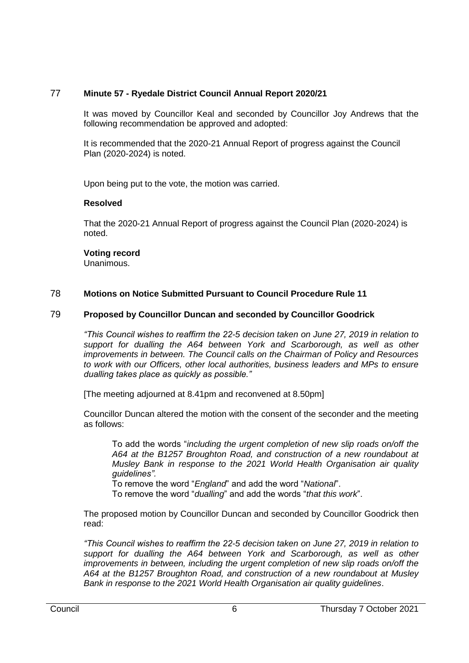# 77 **Minute 57 - Ryedale District Council Annual Report 2020/21**

It was moved by Councillor Keal and seconded by Councillor Joy Andrews that the following recommendation be approved and adopted:

It is recommended that the 2020-21 Annual Report of progress against the Council Plan (2020-2024) is noted.

Upon being put to the vote, the motion was carried.

## **Resolved**

That the 2020-21 Annual Report of progress against the Council Plan (2020-2024) is noted.

## **Voting record**

Unanimous.

# 78 **Motions on Notice Submitted Pursuant to Council Procedure Rule 11**

## 79 **Proposed by Councillor Duncan and seconded by Councillor Goodrick**

*"This Council wishes to reaffirm the 22-5 decision taken on June 27, 2019 in relation to support for dualling the A64 between York and Scarborough, as well as other improvements in between. The Council calls on the Chairman of Policy and Resources to work with our Officers, other local authorities, business leaders and MPs to ensure dualling takes place as quickly as possible."*

[The meeting adjourned at 8.41pm and reconvened at 8.50pm]

Councillor Duncan altered the motion with the consent of the seconder and the meeting as follows:

To add the words "*including the urgent completion of new slip roads on/off the A64 at the B1257 Broughton Road, and construction of a new roundabout at Musley Bank in response to the 2021 World Health Organisation air quality guidelines".*

To remove the word "*England*" and add the word "*National*".

To remove the word "*dualling*" and add the words "*that this work*".

The proposed motion by Councillor Duncan and seconded by Councillor Goodrick then read:

*"This Council wishes to reaffirm the 22-5 decision taken on June 27, 2019 in relation to support for dualling the A64 between York and Scarborough, as well as other improvements in between, including the urgent completion of new slip roads on/off the A64 at the B1257 Broughton Road, and construction of a new roundabout at Musley Bank in response to the 2021 World Health Organisation air quality guidelines*.